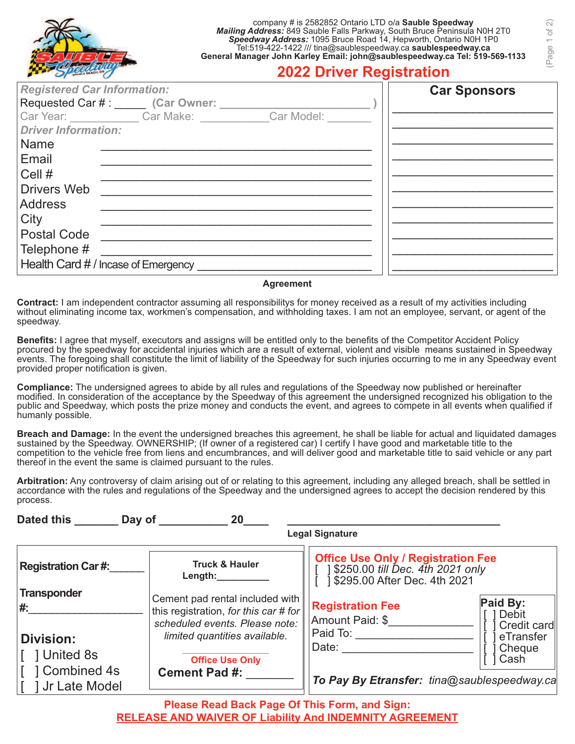

company # is 2582852 Ontario LTD o/a **Sauble Speedway** *Mailing Address:* 849 Sauble Falls Parkway, South Bruce Peninsula N0H 2T0 *Speedway Address:* 1095 Bruce Road 14, Hepworth, Ontario N0H 1P0 Tel:519-422-1422 /// tina@saublespeedway.ca **saublespeedway.ca General Manager John Karley Email: john@saublespeedway.ca Tel: 519-569-1133**

## **2022 Driver Registration**

| <b>Registered Car Information:</b>  | <b>Car Sponsors</b>                                                   |
|-------------------------------------|-----------------------------------------------------------------------|
|                                     |                                                                       |
|                                     |                                                                       |
|                                     |                                                                       |
|                                     |                                                                       |
|                                     |                                                                       |
|                                     |                                                                       |
|                                     |                                                                       |
|                                     |                                                                       |
|                                     |                                                                       |
|                                     |                                                                       |
|                                     |                                                                       |
| Health Card # / Incase of Emergency |                                                                       |
|                                     | Requested Car #: (Car Owner: ______<br>Car Year: Car Make: Car Model: |

## **Agreement**

**Contract:** I am independent contractor assuming all responsibilitys for money received as a result of my activities including without eliminating income tax, workmen's compensation, and withholding taxes. I am not an employee, servant, or agent of the speedway.

**Benefits:** I agree that myself, executors and assigns will be entitled only to the benefits of the Competitor Accident Policy procured by the speedway for accidental injuries which are a result of external, violent and visible means sustained in Speedway events. The foregoing shall constitute the limit of liability of the Speedway for such injuries occurring to me in any Speedway event provided proper notification is given.

**Compliance:** The undersigned agrees to abide by all rules and regulations of the Speedway now published or hereinafter modified. In consideration of the acceptance by the Speedway of this agreement the undersigned recognized his obligation to the public and Speedway, which posts the prize money and conducts the event, and agrees to compete in all events when qualified if humanly possible.

**Breach and Damage:** In the event the undersigned breaches this agreement, he shall be liable for actual and liquidated damages sustained by the Speedway. OWNERSHIP; (If owner of a registered car) I certify I have good and marketable title to the competition to the vehicle free from liens and encumbrances, and will deliver good and marketable title to said vehicle or any part thereof in the event the same is claimed pursuant to the rules.

**Arbitration:** Any controversy of claim arising out of or relating to this agreement, including any alleged breach, shall be settled in accordance with the rules and regulations of the Speedway and the undersigned agrees to accept the decision rendered by this process.

| <b>Dated this</b>                                                                                   | 20<br>Day of                                                                                                                                                                                  |                                                                                                                |                                                                 |
|-----------------------------------------------------------------------------------------------------|-----------------------------------------------------------------------------------------------------------------------------------------------------------------------------------------------|----------------------------------------------------------------------------------------------------------------|-----------------------------------------------------------------|
|                                                                                                     |                                                                                                                                                                                               | <b>Legal Signature</b>                                                                                         |                                                                 |
| <b>Registration Car#:</b>                                                                           | <b>Truck &amp; Hauler</b><br>Length:                                                                                                                                                          | <b>Office Use Only / Registration Fee</b><br>§250.00 till Dec. 4th 2021 only<br>\$295.00 After Dec. 4th 2021   |                                                                 |
| <b>Transponder</b><br>$#$ :<br><b>Division:</b><br>United 8s<br><b>Combined 4s</b><br>Jr Late Model | Cement pad rental included with<br>this registration, for this car # for<br>scheduled events. Please note:<br>limited quantities available.<br><b>Office Use Only</b><br><b>Cement Pad #:</b> | <b>Registration Fee</b><br>Amount Paid: \$<br>Paid To:<br>Date:<br>To Pay By Etransfer: tina@saublespeedway.ca | Paid By:<br>Debit<br>Credit card<br>eTransfer<br>Cheque<br>Cash |

**Please Read Back Page Of This Form, and Sign: RELEASE AND WAIVER OF Liability And INDEMNITY AGREEMENT**